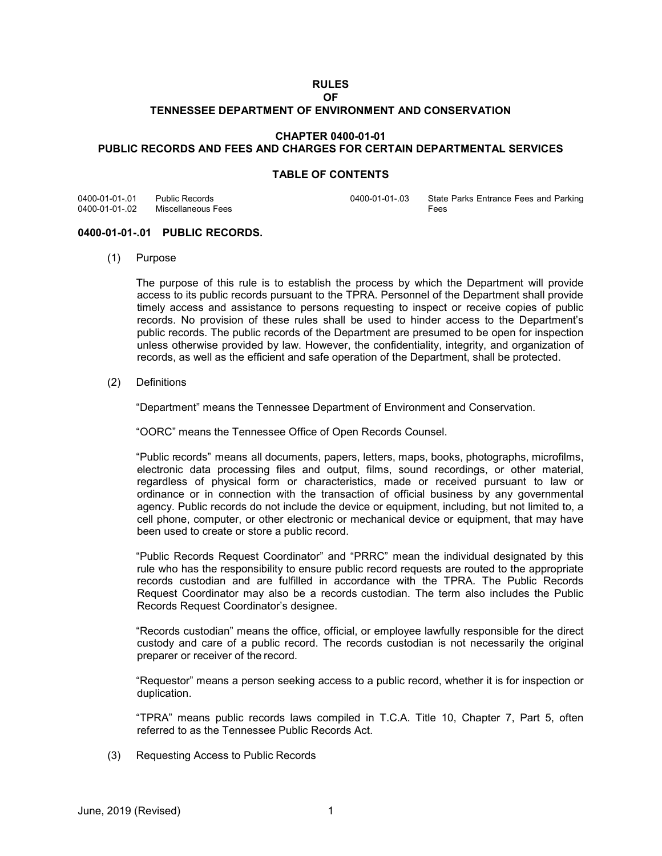# **RULES**

#### **OF**

# **TENNESSEE DEPARTMENT OF ENVIRONMENT AND CONSERVATION**

# **CHAPTER 0400-01-01 PUBLIC RECORDS AND FEES AND CHARGES FOR CERTAIN DEPARTMENTAL SERVICES**

## **TABLE OF CONTENTS**

| 0400-01-01- 01 | <b>Public Records</b> | 0400-01-01-.03 | State Parks Entrance Fees and Parking |
|----------------|-----------------------|----------------|---------------------------------------|
| 0400-01-01-.02 | Miscellaneous Fees    |                | Fees                                  |

### **0400-01-01-.01 PUBLIC RECORDS.**

(1) Purpose

The purpose of this rule is to establish the process by which the Department will provide access to its public records pursuant to the TPRA. Personnel of the Department shall provide timely access and assistance to persons requesting to inspect or receive copies of public records. No provision of these rules shall be used to hinder access to the Department's public records. The public records of the Department are presumed to be open for inspection unless otherwise provided by law. However, the confidentiality, integrity, and organization of records, as well as the efficient and safe operation of the Department, shall be protected.

(2) Definitions

"Department" means the Tennessee Department of Environment and Conservation.

"OORC" means the Tennessee Office of Open Records Counsel.

"Public records" means all documents, papers, letters, maps, books, photographs, microfilms, electronic data processing files and output, films, sound recordings, or other material, regardless of physical form or characteristics, made or received pursuant to law or ordinance or in connection with the transaction of official business by any governmental agency. Public records do not include the device or equipment, including, but not limited to, a cell phone, computer, or other electronic or mechanical device or equipment, that may have been used to create or store a public record.

"Public Records Request Coordinator" and "PRRC" mean the individual designated by this rule who has the responsibility to ensure public record requests are routed to the appropriate records custodian and are fulfilled in accordance with the TPRA. The Public Records Request Coordinator may also be a records custodian. The term also includes the Public Records Request Coordinator's designee.

"Records custodian" means the office, official, or employee lawfully responsible for the direct custody and care of a public record. The records custodian is not necessarily the original preparer or receiver of the record.

"Requestor" means a person seeking access to a public record, whether it is for inspection or duplication.

"TPRA" means public records laws compiled in T.C.A. Title 10, Chapter 7, Part 5, often referred to as the Tennessee Public Records Act.

(3) Requesting Access to Public Records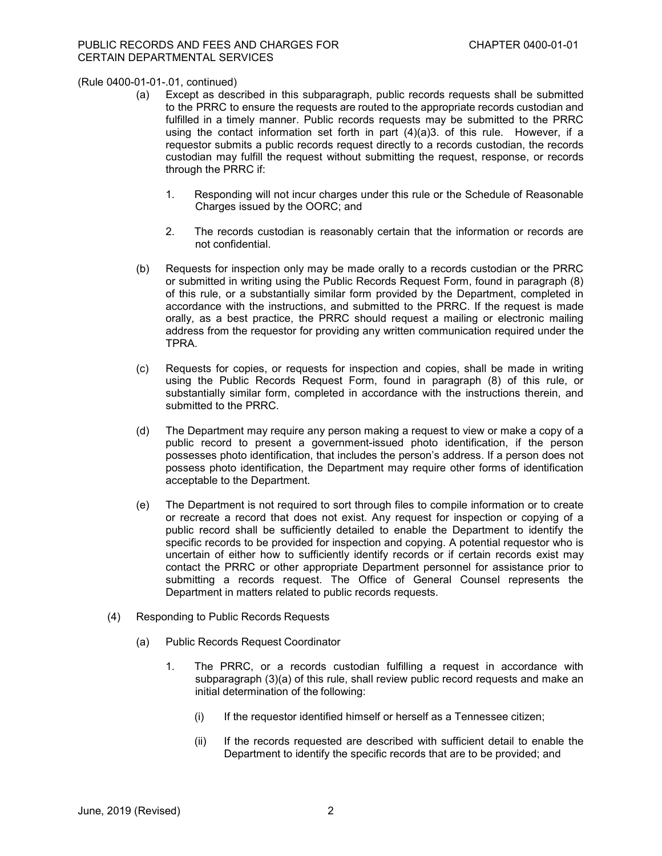- (a) Except as described in this subparagraph, public records requests shall be submitted to the PRRC to ensure the requests are routed to the appropriate records custodian and fulfilled in a timely manner. Public records requests may be submitted to the PRRC using the contact information set forth in part  $(4)(a)3$ . of this rule. However, if a requestor submits a public records request directly to a records custodian, the records custodian may fulfill the request without submitting the request, response, or records through the PRRC if:
	- 1. Responding will not incur charges under this rule or the Schedule of Reasonable Charges issued by the OORC; and
	- 2. The records custodian is reasonably certain that the information or records are not confidential.
- (b) Requests for inspection only may be made orally to a records custodian or the PRRC or submitted in writing using the Public Records Request Form, found in paragraph (8) of this rule, or a substantially similar form provided by the Department, completed in accordance with the instructions, and submitted to the PRRC. If the request is made orally, as a best practice, the PRRC should request a mailing or electronic mailing address from the requestor for providing any written communication required under the TPRA.
- (c) Requests for copies, or requests for inspection and copies, shall be made in writing using the Public Records Request Form, found in paragraph (8) of this rule, or substantially similar form, completed in accordance with the instructions therein, and submitted to the PRRC.
- (d) The Department may require any person making a request to view or make a copy of a public record to present a government-issued photo identification, if the person possesses photo identification, that includes the person's address. If a person does not possess photo identification, the Department may require other forms of identification acceptable to the Department.
- (e) The Department is not required to sort through files to compile information or to create or recreate a record that does not exist. Any request for inspection or copying of a public record shall be sufficiently detailed to enable the Department to identify the specific records to be provided for inspection and copying. A potential requestor who is uncertain of either how to sufficiently identify records or if certain records exist may contact the PRRC or other appropriate Department personnel for assistance prior to submitting a records request. The Office of General Counsel represents the Department in matters related to public records requests.
- (4) Responding to Public Records Requests
	- (a) Public Records Request Coordinator
		- 1. The PRRC, or a records custodian fulfilling a request in accordance with subparagraph (3)(a) of this rule, shall review public record requests and make an initial determination of the following:
			- (i) If the requestor identified himself or herself as a Tennessee citizen;
			- (ii) If the records requested are described with sufficient detail to enable the Department to identify the specific records that are to be provided; and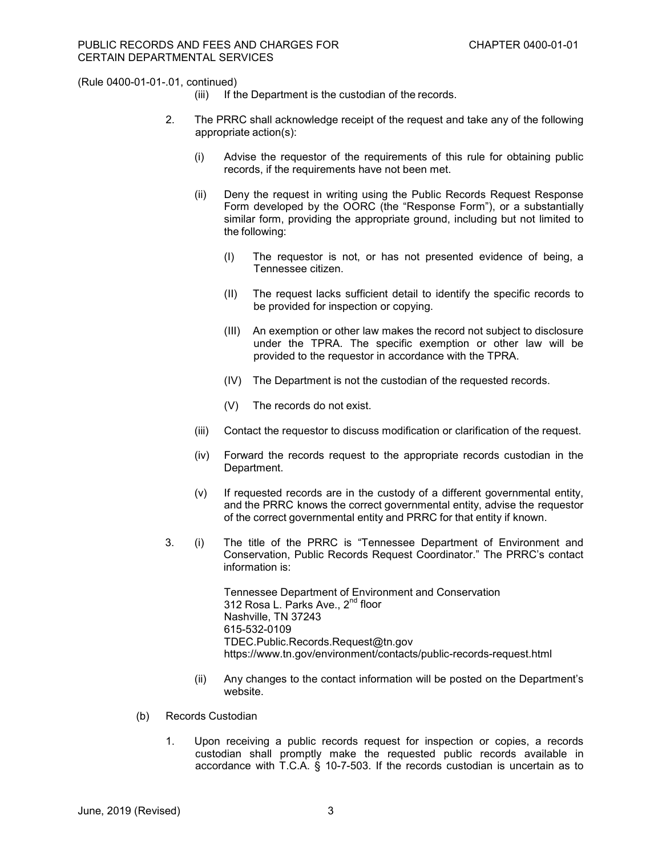- (iii) If the Department is the custodian of the records.
- 2. The PRRC shall acknowledge receipt of the request and take any of the following appropriate action(s):
	- (i) Advise the requestor of the requirements of this rule for obtaining public records, if the requirements have not been met.
	- (ii) Deny the request in writing using the Public Records Request Response Form developed by the OORC (the "Response Form"), or a substantially similar form, providing the appropriate ground, including but not limited to the following:
		- (I) The requestor is not, or has not presented evidence of being, a Tennessee citizen.
		- (II) The request lacks sufficient detail to identify the specific records to be provided for inspection or copying.
		- (III) An exemption or other law makes the record not subject to disclosure under the TPRA. The specific exemption or other law will be provided to the requestor in accordance with the TPRA.
		- (IV) The Department is not the custodian of the requested records.
		- (V) The records do not exist.
	- (iii) Contact the requestor to discuss modification or clarification of the request.
	- (iv) Forward the records request to the appropriate records custodian in the Department.
	- (v) If requested records are in the custody of a different governmental entity, and the PRRC knows the correct governmental entity, advise the requestor of the correct governmental entity and PRRC for that entity if known.
- 3. (i) The title of the PRRC is "Tennessee Department of Environment and Conservation, Public Records Request Coordinator." The PRRC's contact information is:

Tennessee Department of Environment and Conservation 312 Rosa L. Parks Ave., 2<sup>nd</sup> floor Nashville, TN 37243 615-532-0109 [TDEC.Public.Records.Request@tn.gov](mailto:TDEC.Public.Records.Request@tn.gov) <https://www.tn.gov/environment/contacts/public-records-request.html>

- (ii) Any changes to the contact information will be posted on the Department's website.
- (b) Records Custodian
	- 1. Upon receiving a public records request for inspection or copies, a records custodian shall promptly make the requested public records available in accordance with T.C.A. § 10-7-503. If the records custodian is uncertain as to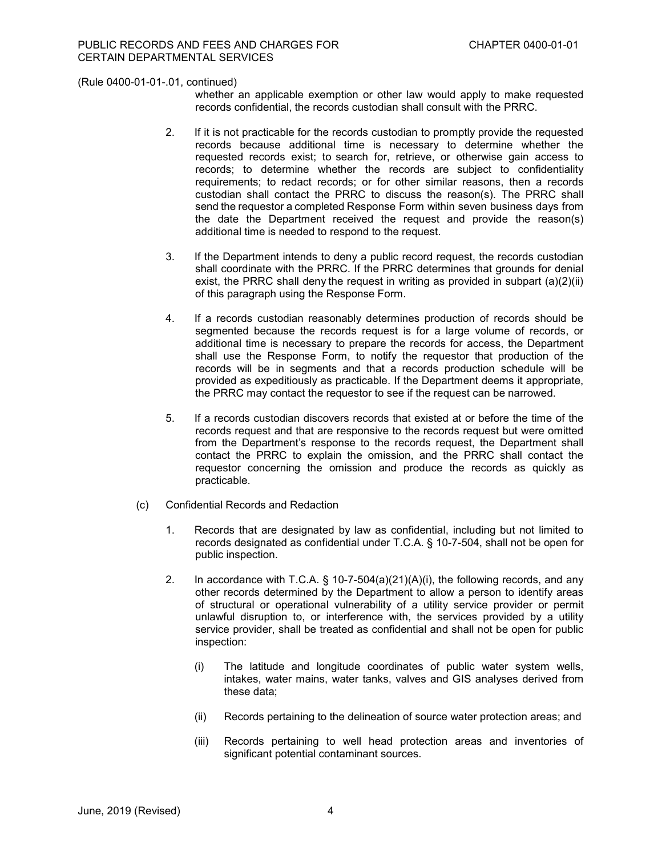- whether an applicable exemption or other law would apply to make requested records confidential, the records custodian shall consult with the PRRC.
- 2. If it is not practicable for the records custodian to promptly provide the requested records because additional time is necessary to determine whether the requested records exist; to search for, retrieve, or otherwise gain access to records; to determine whether the records are subject to confidentiality requirements; to redact records; or for other similar reasons, then a records custodian shall contact the PRRC to discuss the reason(s). The PRRC shall send the requestor a completed Response Form within seven business days from the date the Department received the request and provide the reason(s) additional time is needed to respond to the request.
- 3. If the Department intends to deny a public record request, the records custodian shall coordinate with the PRRC. If the PRRC determines that grounds for denial exist, the PRRC shall deny the request in writing as provided in subpart (a)(2)(ii) of this paragraph using the Response Form.
- 4. If a records custodian reasonably determines production of records should be segmented because the records request is for a large volume of records, or additional time is necessary to prepare the records for access, the Department shall use the Response Form, to notify the requestor that production of the records will be in segments and that a records production schedule will be provided as expeditiously as practicable. If the Department deems it appropriate, the PRRC may contact the requestor to see if the request can be narrowed.
- 5. If a records custodian discovers records that existed at or before the time of the records request and that are responsive to the records request but were omitted from the Department's response to the records request, the Department shall contact the PRRC to explain the omission, and the PRRC shall contact the requestor concerning the omission and produce the records as quickly as practicable.
- (c) Confidential Records and Redaction
	- 1. Records that are designated by law as confidential, including but not limited to records designated as confidential under T.C.A. § 10-7-504, shall not be open for public inspection.
	- 2. In accordance with T.C.A. § 10-7-504(a)(21)(A)(i), the following records, and any other records determined by the Department to allow a person to identify areas of structural or operational vulnerability of a utility service provider or permit unlawful disruption to, or interference with, the services provided by a utility service provider, shall be treated as confidential and shall not be open for public inspection:
		- (i) The latitude and longitude coordinates of public water system wells, intakes, water mains, water tanks, valves and GIS analyses derived from these data;
		- (ii) Records pertaining to the delineation of source water protection areas; and
		- (iii) Records pertaining to well head protection areas and inventories of significant potential contaminant sources.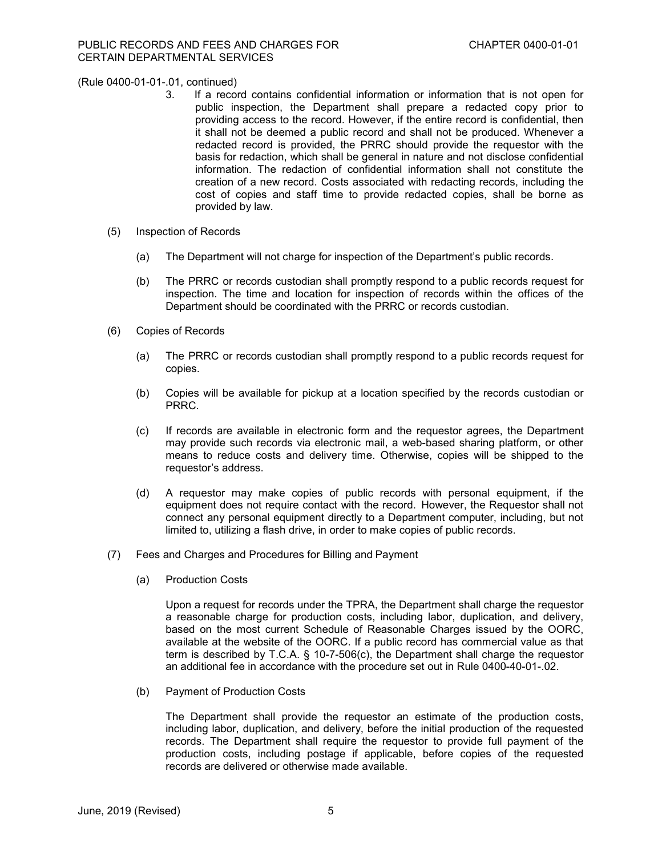- 3. If a record contains confidential information or information that is not open for public inspection, the Department shall prepare a redacted copy prior to providing access to the record. However, if the entire record is confidential, then it shall not be deemed a public record and shall not be produced. Whenever a redacted record is provided, the PRRC should provide the requestor with the basis for redaction, which shall be general in nature and not disclose confidential information. The redaction of confidential information shall not constitute the creation of a new record. Costs associated with redacting records, including the cost of copies and staff time to provide redacted copies, shall be borne as provided by law.
- (5) Inspection of Records
	- (a) The Department will not charge for inspection of the Department's public records.
	- (b) The PRRC or records custodian shall promptly respond to a public records request for inspection. The time and location for inspection of records within the offices of the Department should be coordinated with the PRRC or records custodian.
- (6) Copies of Records
	- (a) The PRRC or records custodian shall promptly respond to a public records request for copies.
	- (b) Copies will be available for pickup at a location specified by the records custodian or PRRC.
	- (c) If records are available in electronic form and the requestor agrees, the Department may provide such records via electronic mail, a web-based sharing platform, or other means to reduce costs and delivery time. Otherwise, copies will be shipped to the requestor's address.
	- (d) A requestor may make copies of public records with personal equipment, if the equipment does not require contact with the record. However, the Requestor shall not connect any personal equipment directly to a Department computer, including, but not limited to, utilizing a flash drive, in order to make copies of public records.
- (7) Fees and Charges and Procedures for Billing and Payment
	- (a) Production Costs

Upon a request for records under the TPRA, the Department shall charge the requestor a reasonable charge for production costs, including labor, duplication, and delivery, based on the most current Schedule of Reasonable Charges issued by the OORC, available at the website of the OORC. If a public record has commercial value as that term is described by T.C.A. § 10-7-506(c), the Department shall charge the requestor an additional fee in accordance with the procedure set out in Rule 0400-40-01-.02.

(b) Payment of Production Costs

The Department shall provide the requestor an estimate of the production costs, including labor, duplication, and delivery, before the initial production of the requested records. The Department shall require the requestor to provide full payment of the production costs, including postage if applicable, before copies of the requested records are delivered or otherwise made available.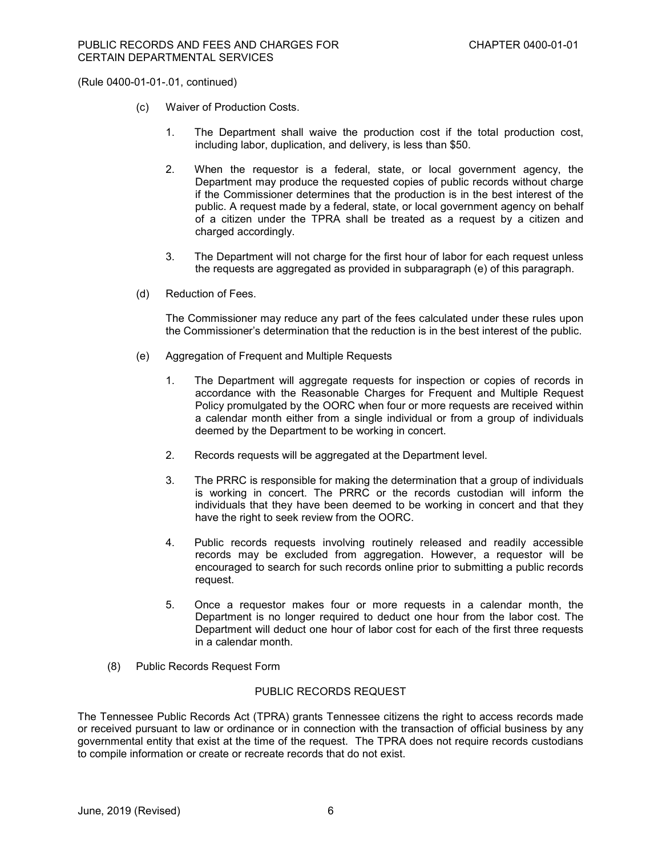- (c) Waiver of Production Costs.
	- 1. The Department shall waive the production cost if the total production cost, including labor, duplication, and delivery, is less than \$50.
	- 2. When the requestor is a federal, state, or local government agency, the Department may produce the requested copies of public records without charge if the Commissioner determines that the production is in the best interest of the public. A request made by a federal, state, or local government agency on behalf of a citizen under the TPRA shall be treated as a request by a citizen and charged accordingly.
	- 3. The Department will not charge for the first hour of labor for each request unless the requests are aggregated as provided in subparagraph (e) of this paragraph.
- (d) Reduction of Fees.

The Commissioner may reduce any part of the fees calculated under these rules upon the Commissioner's determination that the reduction is in the best interest of the public.

- (e) Aggregation of Frequent and Multiple Requests
	- 1. The Department will aggregate requests for inspection or copies of records in accordance with the Reasonable Charges for Frequent and Multiple Request Policy promulgated by the OORC when four or more requests are received within a calendar month either from a single individual or from a group of individuals deemed by the Department to be working in concert.
	- 2. Records requests will be aggregated at the Department level.
	- 3. The PRRC is responsible for making the determination that a group of individuals is working in concert. The PRRC or the records custodian will inform the individuals that they have been deemed to be working in concert and that they have the right to seek review from the OORC.
	- 4. Public records requests involving routinely released and readily accessible records may be excluded from aggregation. However, a requestor will be encouraged to search for such records online prior to submitting a public records request.
	- 5. Once a requestor makes four or more requests in a calendar month, the Department is no longer required to deduct one hour from the labor cost. The Department will deduct one hour of labor cost for each of the first three requests in a calendar month.
- (8) Public Records Request Form

## PUBLIC RECORDS REQUEST

The Tennessee Public Records Act (TPRA) grants Tennessee citizens the right to access records made or received pursuant to law or ordinance or in connection with the transaction of official business by any governmental entity that exist at the time of the request. The TPRA does not require records custodians to compile information or create or recreate records that do not exist.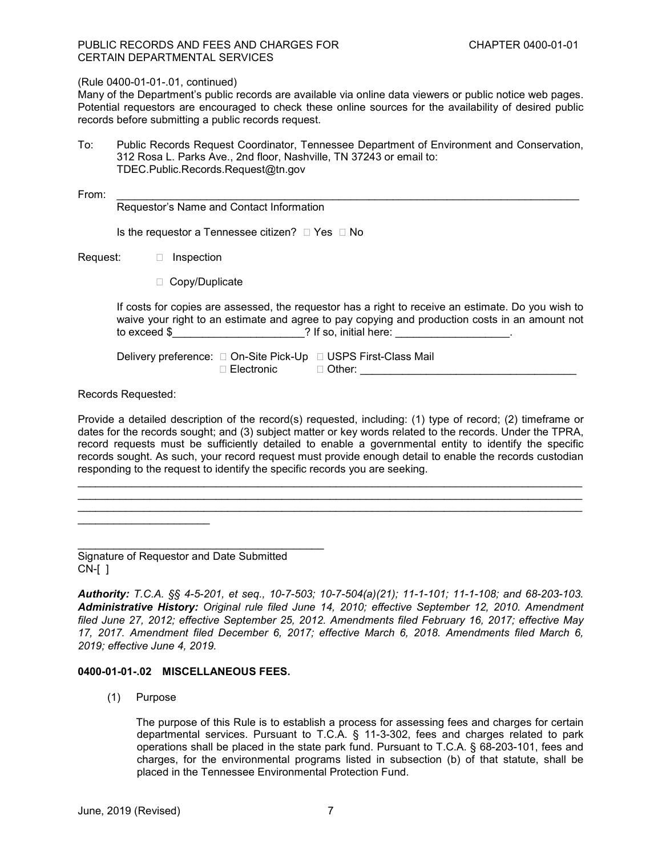Many of the Department's public records are available via online data viewers or public notice web pages. Potential requestors are encouraged to check these online sources for the availability of desired public records before submitting a public records request.

To: Public Records Request Coordinator, Tennessee Department of Environment and Conservation, 312 Rosa L. Parks Ave., 2nd floor, Nashville, TN 37243 or email to: [TDEC.Public.Records.Request@tn.gov](mailto:TDEC.Public.Records.Request@tn.gov)

From: \_\_\_\_\_\_\_\_\_\_\_\_\_\_\_\_\_\_\_\_\_\_\_\_\_\_\_\_\_\_\_\_\_\_\_\_\_\_\_\_\_\_\_\_\_\_\_\_\_\_\_\_\_\_\_\_\_\_\_\_\_\_\_\_\_\_\_\_\_\_\_\_\_\_\_\_\_

Requestor's Name and Contact Information

Is the requestor a Tennessee citizen?  $\Box$  Yes  $\Box$  No

Request: **I** Inspection

□ Copy/Duplicate

If costs for copies are assessed, the requestor has a right to receive an estimate. Do you wish to waive your right to an estimate and agree to pay copying and production costs in an amount not to exceed \$\_\_\_\_\_\_\_\_\_\_\_\_\_\_\_\_\_\_\_\_\_\_? If so, initial here: \_\_\_\_\_\_\_\_\_\_\_\_\_\_\_\_\_\_\_.

Delivery preference:  $\Box$  On-Site Pick-Up  $\Box$  USPS First-Class Mail  $\Box$  Electronic  $\Box$  Other:

Records Requested:

Provide a detailed description of the record(s) requested, including: (1) type of record; (2) timeframe or dates for the records sought; and (3) subject matter or key words related to the records. Under the TPRA, record requests must be sufficiently detailed to enable a governmental entity to identify the specific records sought. As such, your record request must provide enough detail to enable the records custodian responding to the request to identify the specific records you are seeking.

\_\_\_\_\_\_\_\_\_\_\_\_\_\_\_\_\_\_\_\_\_\_\_\_\_\_\_\_\_\_\_\_\_\_\_\_\_\_\_\_\_\_\_\_\_\_\_\_\_\_\_\_\_\_\_\_\_\_\_\_\_\_\_\_\_\_\_\_\_\_\_\_\_\_\_\_\_\_\_\_\_\_\_\_ \_\_\_\_\_\_\_\_\_\_\_\_\_\_\_\_\_\_\_\_\_\_\_\_\_\_\_\_\_\_\_\_\_\_\_\_\_\_\_\_\_\_\_\_\_\_\_\_\_\_\_\_\_\_\_\_\_\_\_\_\_\_\_\_\_\_\_\_\_\_\_\_\_\_\_\_\_\_\_\_\_\_\_\_ \_\_\_\_\_\_\_\_\_\_\_\_\_\_\_\_\_\_\_\_\_\_\_\_\_\_\_\_\_\_\_\_\_\_\_\_\_\_\_\_\_\_\_\_\_\_\_\_\_\_\_\_\_\_\_\_\_\_\_\_\_\_\_\_\_\_\_\_\_\_\_\_\_\_\_\_\_\_\_\_\_\_\_\_

Signature of Requestor and Date Submitted CN-[ ]

\_\_\_\_\_\_\_\_\_\_\_\_\_\_\_\_\_\_\_\_\_\_\_\_\_\_\_\_\_\_\_\_\_\_\_\_\_\_\_\_\_

*Authority: T.C.A. §§ 4-5-201, et seq., 10-7-503; 10-7-504(a)(21); 11-1-101; 11-1-108; and 68-203-103. Administrative History: Original rule filed June 14, 2010; effective September 12, 2010. Amendment filed June 27, 2012; effective September 25, 2012. Amendments filed February 16, 2017; effective May 17, 2017. Amendment filed December 6, 2017; effective March 6, 2018. Amendments filed March 6, 2019; effective June 4, 2019.*

# **0400-01-01-.02 MISCELLANEOUS FEES.**

(1) Purpose

\_\_\_\_\_\_\_\_\_\_\_\_\_\_\_\_\_\_\_\_\_\_

The purpose of this Rule is to establish a process for assessing fees and charges for certain departmental services. Pursuant to T.C.A. § 11-3-302, fees and charges related to park operations shall be placed in the state park fund. Pursuant to T.C.A. § 68-203-101, fees and charges, for the environmental programs listed in subsection (b) of that statute, shall be placed in the Tennessee Environmental Protection Fund.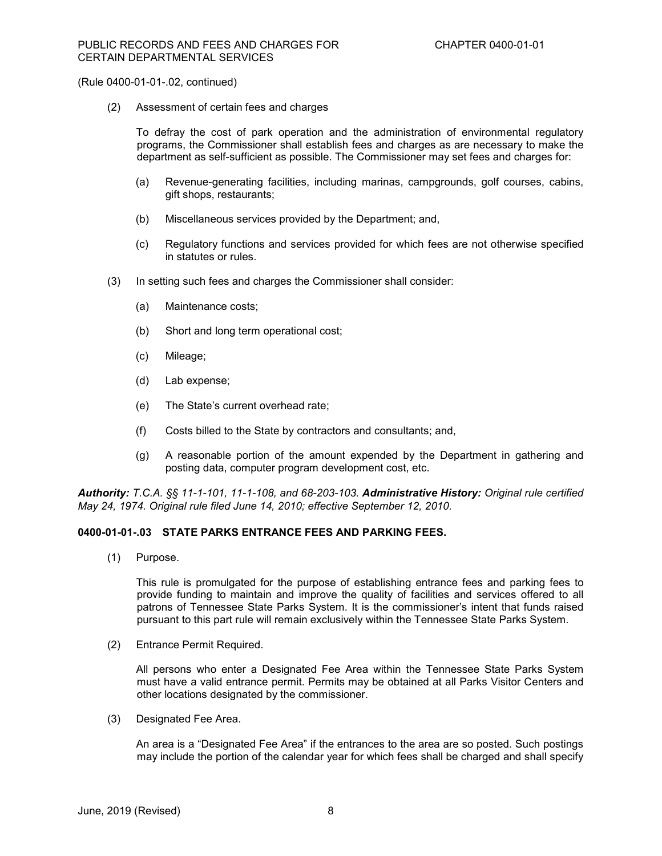(2) Assessment of certain fees and charges

To defray the cost of park operation and the administration of environmental regulatory programs, the Commissioner shall establish fees and charges as are necessary to make the department as self-sufficient as possible. The Commissioner may set fees and charges for:

- (a) Revenue-generating facilities, including marinas, campgrounds, golf courses, cabins, gift shops, restaurants;
- (b) Miscellaneous services provided by the Department; and,
- (c) Regulatory functions and services provided for which fees are not otherwise specified in statutes or rules.
- (3) In setting such fees and charges the Commissioner shall consider:
	- (a) Maintenance costs;
	- (b) Short and long term operational cost;
	- (c) Mileage;
	- (d) Lab expense;
	- (e) The State's current overhead rate;
	- (f) Costs billed to the State by contractors and consultants; and,
	- (g) A reasonable portion of the amount expended by the Department in gathering and posting data, computer program development cost, etc.

*Authority: T.C.A. §§ 11-1-101, 11-1-108, and 68-203-103. Administrative History: Original rule certified May 24, 1974. Original rule filed June 14, 2010; effective September 12, 2010.*

### **0400-01-01-.03 STATE PARKS ENTRANCE FEES AND PARKING FEES.**

(1) Purpose.

This rule is promulgated for the purpose of establishing entrance fees and parking fees to provide funding to maintain and improve the quality of facilities and services offered to all patrons of Tennessee State Parks System. It is the commissioner's intent that funds raised pursuant to this part rule will remain exclusively within the Tennessee State Parks System.

(2) Entrance Permit Required.

All persons who enter a Designated Fee Area within the Tennessee State Parks System must have a valid entrance permit. Permits may be obtained at all Parks Visitor Centers and other locations designated by the commissioner.

(3) Designated Fee Area.

An area is a "Designated Fee Area" if the entrances to the area are so posted. Such postings may include the portion of the calendar year for which fees shall be charged and shall specify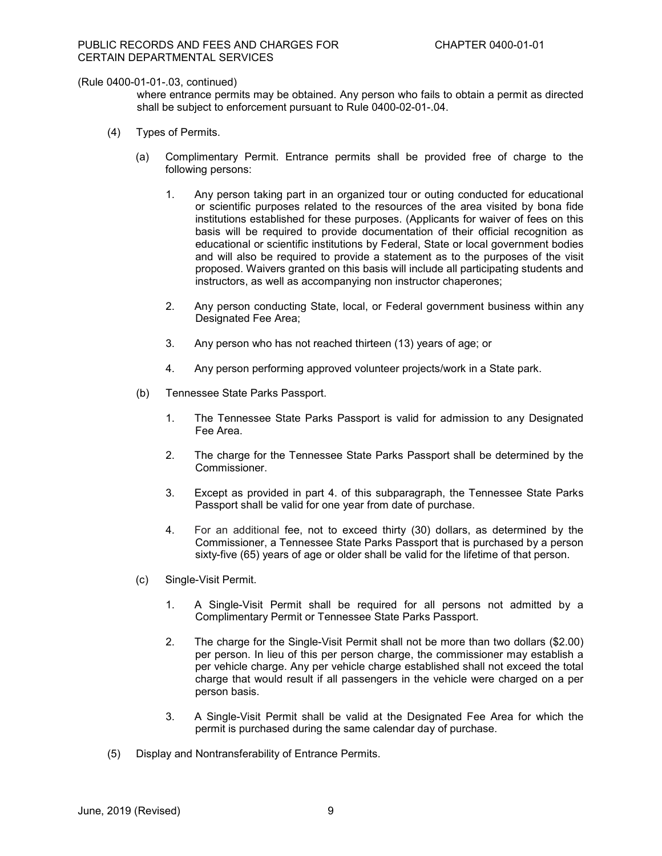where entrance permits may be obtained. Any person who fails to obtain a permit as directed shall be subject to enforcement pursuant to Rule 0400-02-01-.04.

- (4) Types of Permits.
	- (a) Complimentary Permit. Entrance permits shall be provided free of charge to the following persons:
		- 1. Any person taking part in an organized tour or outing conducted for educational or scientific purposes related to the resources of the area visited by bona fide institutions established for these purposes. (Applicants for waiver of fees on this basis will be required to provide documentation of their official recognition as educational or scientific institutions by Federal, State or local government bodies and will also be required to provide a statement as to the purposes of the visit proposed. Waivers granted on this basis will include all participating students and instructors, as well as accompanying non instructor chaperones;
		- 2. Any person conducting State, local, or Federal government business within any Designated Fee Area;
		- 3. Any person who has not reached thirteen (13) years of age; or
		- 4. Any person performing approved volunteer projects/work in a State park.
	- (b) Tennessee State Parks Passport.
		- 1. The Tennessee State Parks Passport is valid for admission to any Designated Fee Area.
		- 2. The charge for the Tennessee State Parks Passport shall be determined by the Commissioner.
		- 3. Except as provided in part 4. of this subparagraph, the Tennessee State Parks Passport shall be valid for one year from date of purchase.
		- 4. For an additional fee, not to exceed thirty (30) dollars, as determined by the Commissioner, a Tennessee State Parks Passport that is purchased by a person sixty-five (65) years of age or older shall be valid for the lifetime of that person.
	- (c) Single-Visit Permit.
		- 1. A Single-Visit Permit shall be required for all persons not admitted by a Complimentary Permit or Tennessee State Parks Passport.
		- 2. The charge for the Single-Visit Permit shall not be more than two dollars (\$2.00) per person. In lieu of this per person charge, the commissioner may establish a per vehicle charge. Any per vehicle charge established shall not exceed the total charge that would result if all passengers in the vehicle were charged on a per person basis.
		- 3. A Single-Visit Permit shall be valid at the Designated Fee Area for which the permit is purchased during the same calendar day of purchase.
- (5) Display and Nontransferability of Entrance Permits.